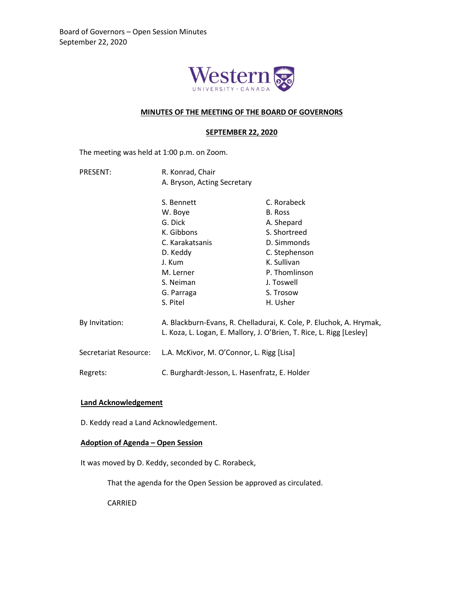

## **MINUTES OF THE MEETING OF THE BOARD OF GOVERNORS**

#### **SEPTEMBER 22, 2020**

The meeting was held at 1:00 p.m. on Zoom.

PRESENT: R. Konrad, Chair A. Bryson, Acting Secretary

|                       | S. Bennett                                                                                                                                  | C. Rorabeck   |
|-----------------------|---------------------------------------------------------------------------------------------------------------------------------------------|---------------|
|                       | W. Boye                                                                                                                                     | B. Ross       |
|                       | G. Dick                                                                                                                                     | A. Shepard    |
|                       | K. Gibbons                                                                                                                                  | S. Shortreed  |
|                       | C. Karakatsanis                                                                                                                             | D. Simmonds   |
|                       | D. Keddy                                                                                                                                    | C. Stephenson |
|                       | J. Kum                                                                                                                                      | K. Sullivan   |
|                       | M. Lerner                                                                                                                                   | P. Thomlinson |
|                       | S. Neiman                                                                                                                                   | J. Toswell    |
|                       | G. Parraga                                                                                                                                  | S. Trosow     |
|                       | S. Pitel                                                                                                                                    | H. Usher      |
| By Invitation:        | A. Blackburn-Evans, R. Chelladurai, K. Cole, P. Eluchok, A. Hrymak,<br>L. Koza, L. Logan, E. Mallory, J. O'Brien, T. Rice, L. Rigg [Lesley] |               |
| Secretariat Resource: | L.A. McKivor, M. O'Connor, L. Rigg [Lisa]                                                                                                   |               |

## **Land Acknowledgement**

D. Keddy read a Land Acknowledgement.

# **Adoption of Agenda – Open Session**

It was moved by D. Keddy, seconded by C. Rorabeck,

That the agenda for the Open Session be approved as circulated.

Regrets: C. Burghardt-Jesson, L. Hasenfratz, E. Holder

CARRIED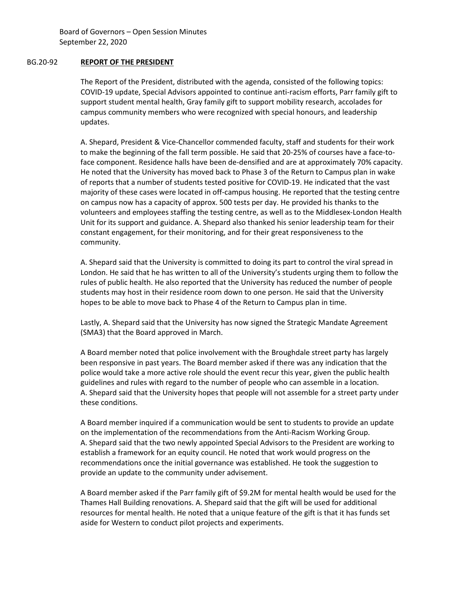Board of Governors – Open Session Minutes September 22, 2020

## BG.20-92 **REPORT OF THE PRESIDENT**

The Report of the President, distributed with the agenda, consisted of the following topics: COVID-19 update, Special Advisors appointed to continue anti-racism efforts, Parr family gift to support student mental health, Gray family gift to support mobility research, accolades for campus community members who were recognized with special honours, and leadership updates.

A. Shepard, President & Vice-Chancellor commended faculty, staff and students for their work to make the beginning of the fall term possible. He said that 20-25% of courses have a face-toface component. Residence halls have been de-densified and are at approximately 70% capacity. He noted that the University has moved back to Phase 3 of the Return to Campus plan in wake of reports that a number of students tested positive for COVID-19. He indicated that the vast majority of these cases were located in off-campus housing. He reported that the testing centre on campus now has a capacity of approx. 500 tests per day. He provided his thanks to the volunteers and employees staffing the testing centre, as well as to the Middlesex-London Health Unit for its support and guidance. A. Shepard also thanked his senior leadership team for their constant engagement, for their monitoring, and for their great responsiveness to the community.

A. Shepard said that the University is committed to doing its part to control the viral spread in London. He said that he has written to all of the University's students urging them to follow the rules of public health. He also reported that the University has reduced the number of people students may host in their residence room down to one person. He said that the University hopes to be able to move back to Phase 4 of the Return to Campus plan in time.

Lastly, A. Shepard said that the University has now signed the Strategic Mandate Agreement (SMA3) that the Board approved in March.

A Board member noted that police involvement with the Broughdale street party has largely been responsive in past years. The Board member asked if there was any indication that the police would take a more active role should the event recur this year, given the public health guidelines and rules with regard to the number of people who can assemble in a location. A. Shepard said that the University hopes that people will not assemble for a street party under these conditions.

A Board member inquired if a communication would be sent to students to provide an update on the implementation of the recommendations from the Anti-Racism Working Group. A. Shepard said that the two newly appointed Special Advisors to the President are working to establish a framework for an equity council. He noted that work would progress on the recommendations once the initial governance was established. He took the suggestion to provide an update to the community under advisement.

A Board member asked if the Parr family gift of \$9.2M for mental health would be used for the Thames Hall Building renovations. A. Shepard said that the gift will be used for additional resources for mental health. He noted that a unique feature of the gift is that it has funds set aside for Western to conduct pilot projects and experiments.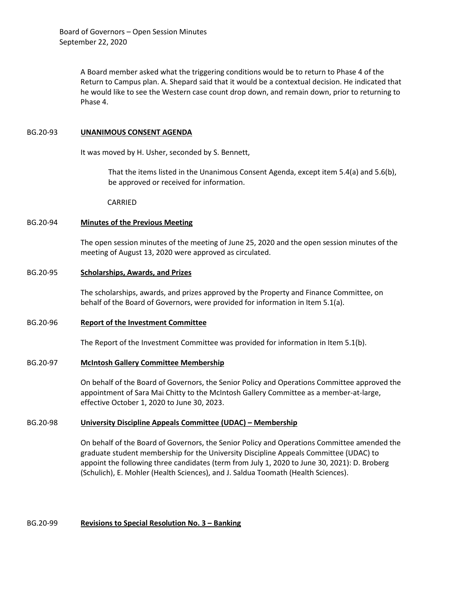A Board member asked what the triggering conditions would be to return to Phase 4 of the Return to Campus plan. A. Shepard said that it would be a contextual decision. He indicated that he would like to see the Western case count drop down, and remain down, prior to returning to Phase 4.

#### BG.20-93 **UNANIMOUS CONSENT AGENDA**

It was moved by H. Usher, seconded by S. Bennett,

That the items listed in the Unanimous Consent Agenda, except item 5.4(a) and 5.6(b), be approved or received for information.

CARRIED

## BG.20-94 **Minutes of the Previous Meeting**

The open session minutes of the meeting of June 25, 2020 and the open session minutes of the meeting of August 13, 2020 were approved as circulated.

## BG.20-95 **Scholarships, Awards, and Prizes**

The scholarships, awards, and prizes approved by the Property and Finance Committee, on behalf of the Board of Governors, were provided for information in Item 5.1(a).

# BG.20-96 **Report of the Investment Committee**

The Report of the Investment Committee was provided for information in Item 5.1(b).

# BG.20-97 **McIntosh Gallery Committee Membership**

On behalf of the Board of Governors, the Senior Policy and Operations Committee approved the appointment of Sara Mai Chitty to the McIntosh Gallery Committee as a member-at-large, effective October 1, 2020 to June 30, 2023.

# BG.20-98 **University Discipline Appeals Committee (UDAC) – Membership**

On behalf of the Board of Governors, the Senior Policy and Operations Committee amended the graduate student membership for the University Discipline Appeals Committee (UDAC) to appoint the following three candidates (term from July 1, 2020 to June 30, 2021): D. Broberg (Schulich), E. Mohler (Health Sciences), and J. Saldua Toomath (Health Sciences).

# BG.20-99 **Revisions to Special Resolution No. 3 – Banking**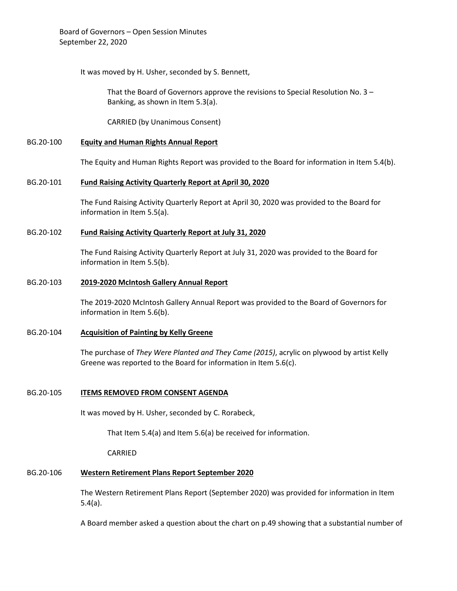It was moved by H. Usher, seconded by S. Bennett,

That the Board of Governors approve the revisions to Special Resolution No. 3 – Banking, as shown in Item 5.3(a).

CARRIED (by Unanimous Consent)

# BG.20-100 **Equity and Human Rights Annual Report**

The Equity and Human Rights Report was provided to the Board for information in Item 5.4(b).

## BG.20-101 **Fund Raising Activity Quarterly Report at April 30, 2020**

The Fund Raising Activity Quarterly Report at April 30, 2020 was provided to the Board for information in Item 5.5(a).

## BG.20-102 **Fund Raising Activity Quarterly Report at July 31, 2020**

The Fund Raising Activity Quarterly Report at July 31, 2020 was provided to the Board for information in Item 5.5(b).

#### BG.20-103 **2019-2020 McIntosh Gallery Annual Report**

The 2019-2020 McIntosh Gallery Annual Report was provided to the Board of Governors for information in Item 5.6(b).

#### BG.20-104 **Acquisition of Painting by Kelly Greene**

The purchase of *They Were Planted and They Came (2015)*, acrylic on plywood by artist Kelly Greene was reported to the Board for information in Item 5.6(c).

# BG.20-105 **ITEMS REMOVED FROM CONSENT AGENDA**

It was moved by H. Usher, seconded by C. Rorabeck,

That Item 5.4(a) and Item 5.6(a) be received for information.

CARRIED

# BG.20-106 **Western Retirement Plans Report September 2020**

The Western Retirement Plans Report (September 2020) was provided for information in Item 5.4(a).

A Board member asked a question about the chart on p.49 showing that a substantial number of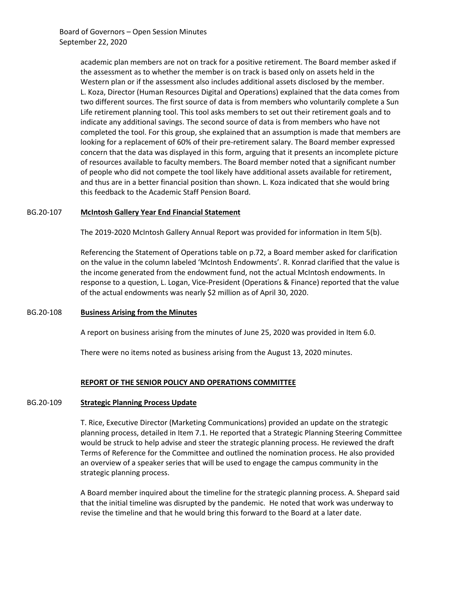Board of Governors – Open Session Minutes September 22, 2020

> academic plan members are not on track for a positive retirement. The Board member asked if the assessment as to whether the member is on track is based only on assets held in the Western plan or if the assessment also includes additional assets disclosed by the member. L. Koza, Director (Human Resources Digital and Operations) explained that the data comes from two different sources. The first source of data is from members who voluntarily complete a Sun Life retirement planning tool. This tool asks members to set out their retirement goals and to indicate any additional savings. The second source of data is from members who have not completed the tool. For this group, she explained that an assumption is made that members are looking for a replacement of 60% of their pre-retirement salary. The Board member expressed concern that the data was displayed in this form, arguing that it presents an incomplete picture of resources available to faculty members. The Board member noted that a significant number of people who did not compete the tool likely have additional assets available for retirement, and thus are in a better financial position than shown. L. Koza indicated that she would bring this feedback to the Academic Staff Pension Board.

#### BG.20-107 **McIntosh Gallery Year End Financial Statement**

The 2019-2020 McIntosh Gallery Annual Report was provided for information in Item 5(b).

Referencing the Statement of Operations table on p.72, a Board member asked for clarification on the value in the column labeled 'McIntosh Endowments'. R. Konrad clarified that the value is the income generated from the endowment fund, not the actual McIntosh endowments. In response to a question, L. Logan, Vice-President (Operations & Finance) reported that the value of the actual endowments was nearly \$2 million as of April 30, 2020.

# BG.20-108 **Business Arising from the Minutes**

A report on business arising from the minutes of June 25, 2020 was provided in Item 6.0.

There were no items noted as business arising from the August 13, 2020 minutes.

#### **REPORT OF THE SENIOR POLICY AND OPERATIONS COMMITTEE**

#### BG.20-109 **Strategic Planning Process Update**

T. Rice, Executive Director (Marketing Communications) provided an update on the strategic planning process, detailed in Item 7.1. He reported that a Strategic Planning Steering Committee would be struck to help advise and steer the strategic planning process. He reviewed the draft Terms of Reference for the Committee and outlined the nomination process. He also provided an overview of a speaker series that will be used to engage the campus community in the strategic planning process.

A Board member inquired about the timeline for the strategic planning process. A. Shepard said that the initial timeline was disrupted by the pandemic. He noted that work was underway to revise the timeline and that he would bring this forward to the Board at a later date.